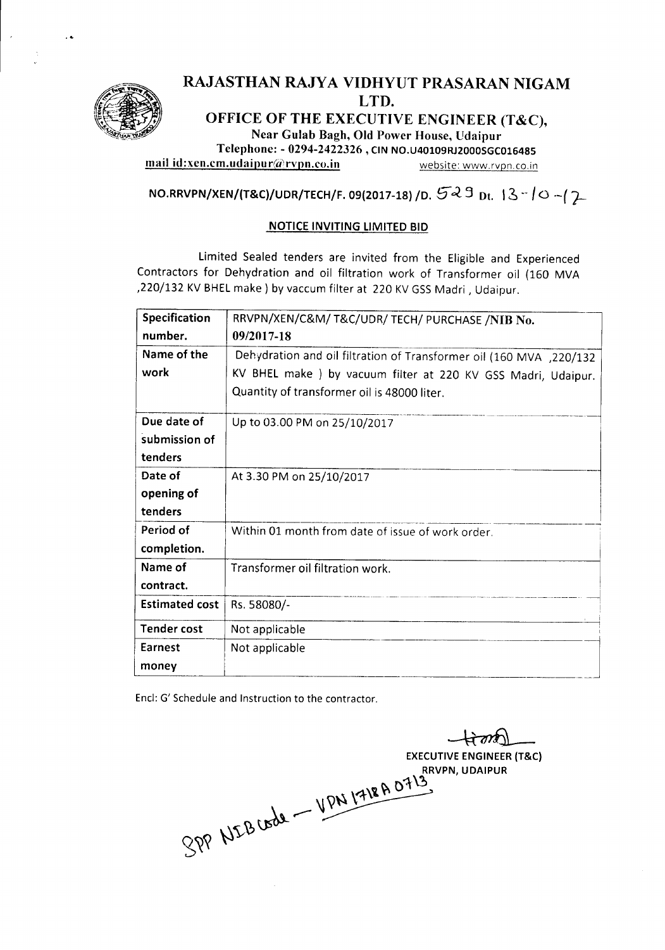

## RAJASTHAN RAJYA VIDHYUT PRASARAN NIGAM LTD.

OFFICE OF THE EXECUTIVE ENGINEER (T&C),

Near Gulab Bagh, Old Power House, Udaipur Telephone: - 0294-2422326 , CIN NO.U40109RJ2000SGC016485

mail id:xen.cm.udaipur@rvpn.co.in website: www.rvpn.co.in

NO.RRVPN/XEN/(T&C)/UDR/TECH/F. 09(2017-18) /D.  $5-3$  Dt.  $13-10$  ~ $/2$ 

## NOTICEINVITING LIMITED BID

Limited Sealed tenders are invited from the Eligible and Experienced Contractors for Dehydration and oil filtration work of Transformer oil (160 MVA , 220/132 KV BHEL make ) by vaccum filter at 220 KV GSS Madri, Udaipur.

| <b>Specification</b>  | RRVPN/XEN/C&M/ T&C/UDR/ TECH/ PURCHASE /NIB No.                     |  |  |
|-----------------------|---------------------------------------------------------------------|--|--|
| number.               | 09/2017-18                                                          |  |  |
| Name of the           | Dehydration and oil filtration of Transformer oil (160 MVA, 220/132 |  |  |
| work                  | KV BHEL make ) by vacuum filter at 220 KV GSS Madri, Udaipur.       |  |  |
|                       | Quantity of transformer oil is 48000 liter.                         |  |  |
| Due date of           | Up to 03.00 PM on 25/10/2017                                        |  |  |
| submission of         |                                                                     |  |  |
| tenders               |                                                                     |  |  |
| Date of               | At 3.30 PM on 25/10/2017                                            |  |  |
| opening of            |                                                                     |  |  |
| tenders               |                                                                     |  |  |
| Period of             | Within 01 month from date of issue of work order.                   |  |  |
| completion.           |                                                                     |  |  |
| Name of               | Transformer oil filtration work.                                    |  |  |
| contract.             |                                                                     |  |  |
| <b>Estimated cost</b> | Rs. 58080/-                                                         |  |  |
| <b>Tender cost</b>    | Not applicable                                                      |  |  |
| Earnest               | Not applicable                                                      |  |  |
| money                 |                                                                     |  |  |

Encl: G' Schedule and Instruction to the contractor.

~ EXECUTIVE ENGINEER (T&C) RRVPN, UDAIPUR  $\mathcal{A}$  ,  $\sqrt{W^{14}}$ ⊤~~  $\circ$   $\omega_b$   $\mu_{\tau_a}$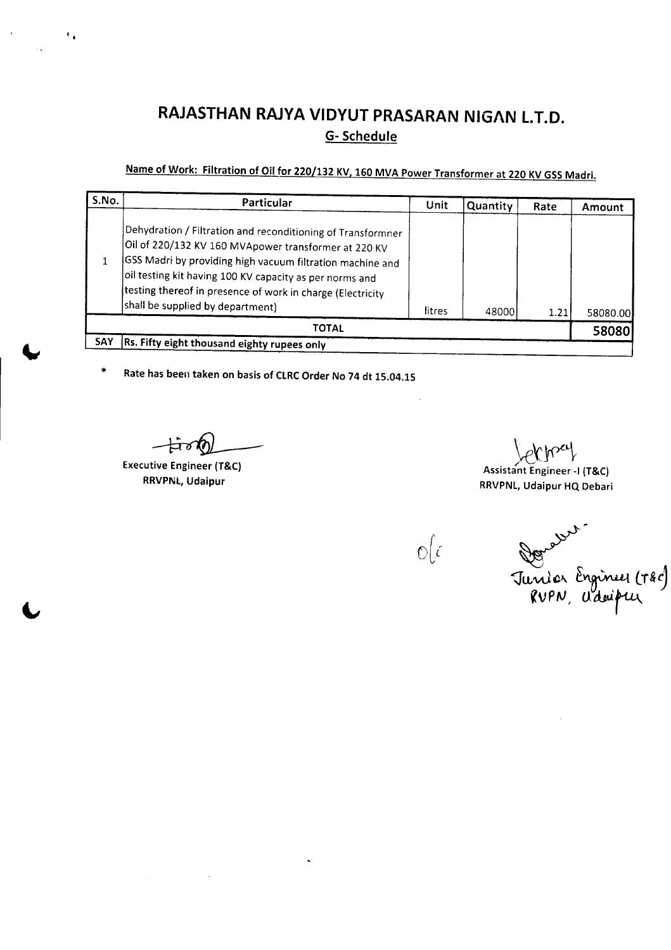# **RAJASTHAN RAJYA VIDYUT PRASARAN NIGAN** t.r.o, G- Schedule

# Name of Work: Filtration of Oil for 220/132 KV, 160 MVA Power Transformer at 220 KV GSS Madri.

| S.No.        | Particular                                                                                                                                                                                                                                                                                                                                    | Unit   | Quantity | Rate | Amount   |
|--------------|-----------------------------------------------------------------------------------------------------------------------------------------------------------------------------------------------------------------------------------------------------------------------------------------------------------------------------------------------|--------|----------|------|----------|
|              | Dehydration / Filtration and reconditioning of Transformner<br>Oil of 220/132 KV 160 MVApower transformer at 220 KV<br>GSS Madri by providing high vacuum filtration machine and<br>oil testing kit having 100 KV capacity as per norms and<br>testing thereof in presence of work in charge (Electricity<br>shall be supplied by department) | litres | 48000    | 1.21 | 58080.00 |
| <b>TOTAL</b> |                                                                                                                                                                                                                                                                                                                                               |        |          |      | 58080    |
| SAY          | Rs. Fifty eight thousand eighty rupees only                                                                                                                                                                                                                                                                                                   |        |          |      |          |

\* Rate has been taken on basis of CLRCOrder No 74 dt 15.04.15

Executive Engineer (T&C) RRVPNL, Udaipur

 $\epsilon$ .

ktM, Assistant Engineer -I (T&C) RRVPNl, Udaipur HQ Debari

 $\mathbb{O}(\mathcal{C})$ 

Donasser<br>Junior Engineu (180)<br>RUPN, Udoipur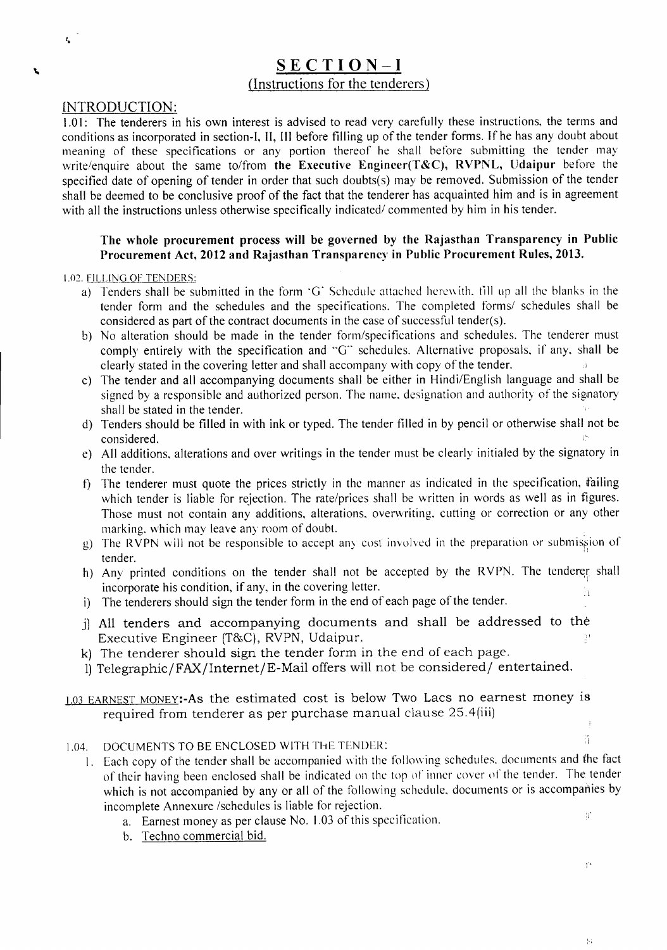## SECTION-I (Instructions for the tenderers)

#### INTRODUCTION:

 $t_{\rm e}$ 

L

1.01: The tenderers in his own interest is advised to read very carefully these instructions, the terms and conditions as incorporated in section-I, II, III before filling up of the tender forms. If he has any doubt about meaning of these specifications or any portion thereof he shall before submitting the tender may write/enquire about the same to/from the Executive Engineer(T&C), RVPNL, Udaipur before the specified date of opening of tender in order that such doubts(s) may be removed. Submission of the tender shall be deemed to be conclusive proof of the fact that the tenderer has acquainted him and is in agreement with all the instructions unless otherwise specifically indicated/ commented by him in his tender.

#### The whole procurement process will be governed by the Rajasthan Transparency in Public Procurement Act, 2012 and Rajasthan Transparency in Public Procurement Rules, 2013.

#### 1.02. FILLING OF TENDERS:

- a) Tenders shall be submitted in the form 'G' Schedule attached hcrew ith. fill up all the blanks in the tender form and the schedules and the specifications. The completed forms/ schedules shall be considered as part of the contract documents in the case of successful tender(s).
- b) No alteration should be made in the tender form/specifications and schedules. The tenderer must comply entirely with the specification and "G" schedules. Alternative proposals, if any, shall be clearly stated in the covering letter and shall accompany with copy of the tender.
- c) The tender and all accompanying documents shall be either in Hindi/English language and shall be signed by a responsible and authorized person. The name, designation and authority of the signatory shall be stated in the tender.
- d) Tenders should be filled in with ink or typed. The tender filled in by pencil or otherwise shall not be considered.
- e) All additions, alterations and over writings in the tender must be clearly initialed by the signatory in the tender.
- f) The tenderer must quote the prices strictly in the manner as indicated in the specification, failing which tender is liable for rejection. The rate/prices shall be written in words as well as in figures. Those must not contain any additions, alterations, overwriting, cutting or correction or any other marking. which may leave any room of doubt.
- g) The RVPN will not be responsible to accept any cost involved in the preparation or submission of tender. ',
- h) Any printed conditions on the tender shall not be accepted by the RVPN. The tenderer shall incorporate his condition, if any, in the covering letter. .L
- i) The tenderers should sign the tender form in the end of each page of the tender
- j) All tenders and accompanying documents and shall be addressed to the Executive Engineer (T&C), RVPN, Udaipur.  $\frac{1}{2}$
- k) The tenderer should sign the tender form in the end of each page.
- 1)Telegraphic/FAX/lnternet/E-Mail offers will not be considered/ entertained.

#### 1.03 EARNEST MONEY:-As the estimated cost is below Two Lacs no earnest money is required from tenderer as per purchase manual clause 25.4(iii)  $\overline{t}$

#### 1.04. DOCUMENTS TO BE ENCLOSED WITH THE TENDER:

- I. Each copy of the tender shall be accompanied with the following schedules. documents and the fact of their having been enclosed shall be indicated on the top of inner cover of the tender. The tender which is not accompanied by any or all of the following schedule. documents or is accompanies by incomplete Annexure /schedules is liable for rejection.  $\mathbf{h}^{\star}$ 
	- a. Earnest money as per clause No. 1.03 of this specification.
	- b. Techno commercial bid.

Ŷ,

 $\{x\}$ 

 $\widetilde{\mathcal{A}}$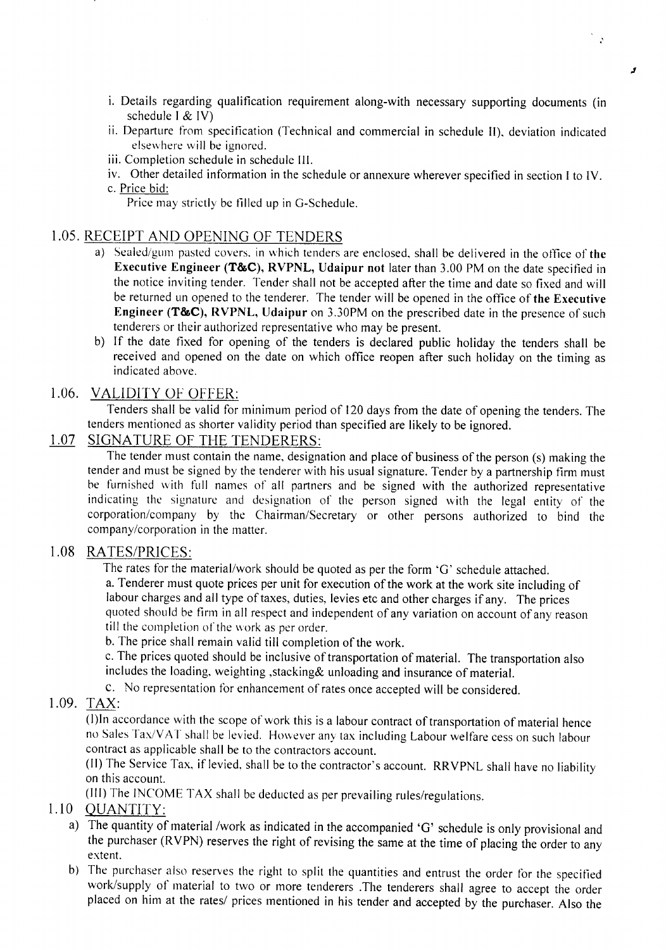- i. Details regarding qualification requirement along-with necessary supporting documents (in schedule I & IV)
- ii. Departure from specification (Technical and commercial in schedule II), deviation indicated elsewhere will be ignored.
- iii. Completion schedule in schedule III.
- iv. Other detailed information in the schedule or annexure wherever specified in section I to IV. c. Price bid:

Price may strictly be filled up in O-Schedule.

## 1.05. RECEIPT AND OPENING OF TENDERS

- a) Sealed/gum pasted covers. in which tenders are enclosed, shall be delivered in the office of the Executive Engineer (T&C), RVPNL, Udaipur not later than 3.00 PM on the date specified in the notice inviting tender. Tender shall not be accepted after the time and date so fixed and will be returned un opened to the tenderer. The tender will be opened in the office of the Executive Engineer (T&C), RVPNL, Udaipur on 3.30PM on the prescribed date in the presence of such tenderers or their authorized representative who may be present.
- b) If the date fixed for opening of the tenders is declared public holiday the tenders shall be received and opened on the date on which office reopen after such holiday on the timing as indicated above.

## 1.06. VALIDITY OF OFFER:

Tenders shall be valid for minimum period of 120 days from the date of opening the tenders. The tenders mentioned as shorter validity period than specified are likely to be ignored.

## 1.07 SIGNATURE OF THE TENDERERS:

The tender must contain the name, designation and place of business of the person (s) making the tender and must be signed by the tenderer with his usual signature. Tender by a partnership firm must be furnished with full names of all partners and be signed with the authorized representative indicating the signature and designation of the person signed with the legal entity of the corporation/company by the Chairman/Secretary or other persons authorized to bind the company/corporation in the matter.

## 1.08 RATES/PRICES:

The rates for the material/work should be quoted as per the form 'G' schedule attached.

a. Tenderer must quote prices per unit for execution of the work at the work site including of labour charges and all type of taxes, duties, levies etc and other charges if any. The prices quoted should be firm in all respect and independent of any variation on account of any reason till the completion of the work as per order.

b. The price shall remain valid till completion of the work.

c. The prices quoted should be inclusive of transportation of material. The transportation also includes the loading, weighting ,stacking& unloading and insurance of material.

C. No representation for enhancement of rates once accepted will be considered.

## 1.09. TAX:

(I)ln accordance with the scope of work this is a labour contract of transportation of material hence no Sales Tax/V AT shall be levied. However any tax including Labour welfare cess on such labour contract as applicable shall be to the contractors account.

(II) The Service Tax, if levied, shall be to the contractor's account. RRVPNL shall have no liability on this account.

(III) The INCOME *TAX* shall be deducted as per prevailing rules/regulations.

## 1.10 QUANTITY:

- a) The quantity of material /work as indicated in the accompanied 'G' schedule is only provisional and the purchaser (RVPN) reserves the right of revising the same at the time of placing the order to any extent.
- b) The purchaser also reserves the right to split the quantities and entrust the order for the specified work/supply of material to two or more tenderers .The tenderers shall agree to accept the order placed on him at the rates/ prices mentioned in his tender and accepted by the purchaser. Also the

, .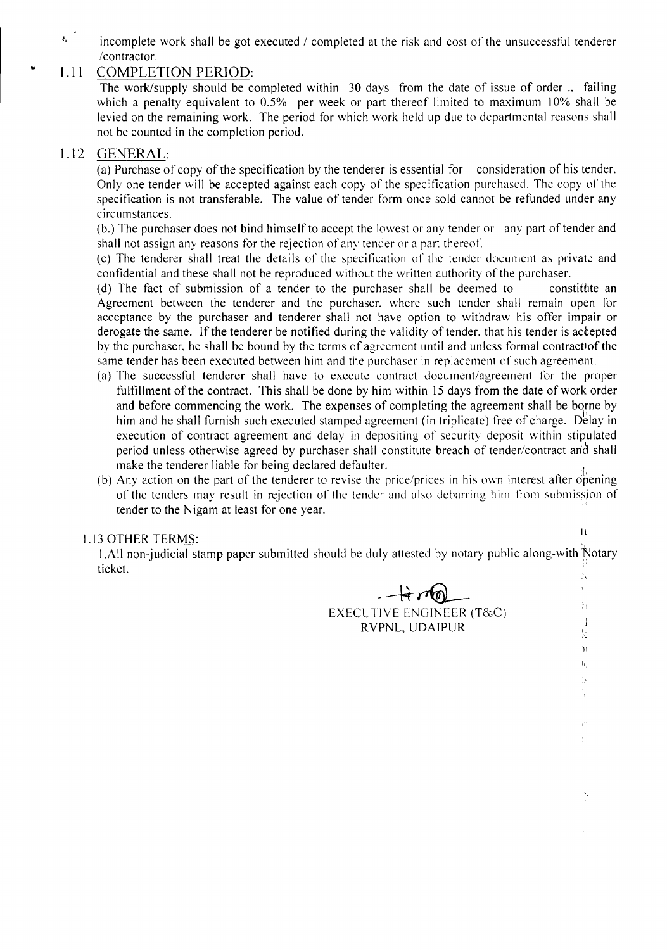incomplete work shall be got executed / completed at the risk and cost of the unsuccessful tenderer /contractor.

## 1.11 COMPLETION PERIOD:

The work/supply should be completed within 30 days from the date of issue of order ., failing which a penalty equivalent to 0.5% per week or part thereof limited to maximum 10% shall be levied on the remaining work. The period for which work held up due to departmental reasons shall not be counted in the completion period.

## 1.12 GENERAL:

"

 $\mathcal{L}^{\text{eff}}$ 

(a) Purchase of copy of the specification by the tenderer is essential for consideration of his tender. Only one tender will be accepted against each copy of the spec ification purchased. The copy of the specification is not transferable. The value of tender form once sold cannot be refunded under any circumstances.

(b.) The purchaser does not bind himself to accept the lowest or any tender or any part of tender and shall not assign any reasons for the rejection of any tender or a part thereof.

(c) The tenderer shall treat the details of the specification or the tender document as private and confidential and these shall not be reproduced without the written authority of the purchaser.

(d) The fact of submission of a tender to the purchaser shall be deemed to constitute an Agreement between the tenderer and the purchaser, where such tender shall remain open for acceptance by the purchaser and tenderer shall not have option to withdraw his offer impair or derogate the same. If the tenderer be notified during the validity of tender, that his tender is accepted by the purchaser, he shall be bound by the terms of agreement until and unless formal contractiof the same tender has been executed between him and the purchaser in replacement of such agreement.

- (a) The successful tenderer shall have to execute contract document/agreement for the proper fulfillment of the contract. This shall be done by him within 15 days from the date of work order and before commencing the work. The expenses of completing the agreement shall be borne by him and he shall furnish such executed stamped agreement (in triplicate) free of charge. Delay in execution of contract agreement and delay in depositing of security deposit within stipulated period unless otherwise agreed by purchaser shall constitute breach of tender/contract and shall make the tenderer liable for being declared defaulter.
- (b) Any action on the part of the tenderer to revise the price/prices in his own interest after opening of the tenders may result in rejection of the tender and also debarring him from submission of tender to the Nigam at least for one year. '

## 1.13 OTHER TERMS:

 $\mathcal{A}^{\text{L}}_{\text{L}}$ 

 $\frac{5}{2}$  $\mathbf{I}$ 芸  $\bar{\rm H}$  $\mathbf{I}_{\mathbf{f}_i}$ ۰,

-,

 $\frac{1}{2}$ 

1.All non-judicial stamp paper submitted should be duly attested by notary public along-with Notary ticket. In the set of the set of the set of the set of the set of the set of the set of the set of the set of

-~

EXECUTIVE ENGINEER (T&C) RVPNL, UDAIPUR

 $\leftrightarrow$  100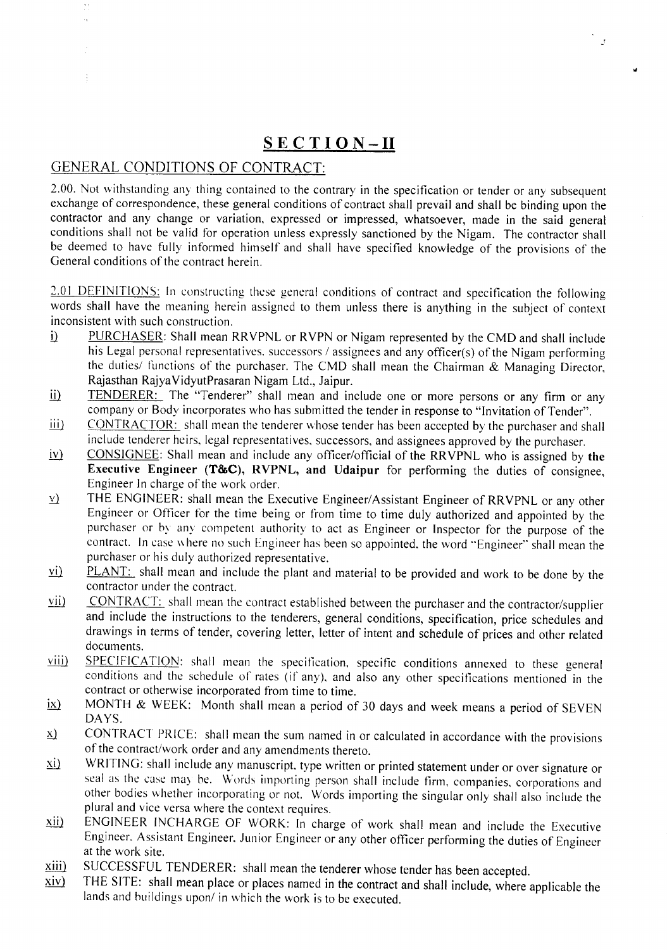## **SECTION-II**

 $\mathcal{F}$ 

## GENERAL CONDITIONS OF CONTRACT:

 $\frac{1}{2}$ 

2.00. Not withstanding any thing contained to the contrary in the specification or tender or any subsequent exchange of correspondence, these general conditions of contract shall prevail and shall be binding upon the contractor and any change or variation, expressed or impressed, whatsoever, made in the said general conditions shall not be valid for operation unless expressly sanctioned by the Nigam. The contractor shall be deemed to have fully informed himself and shall have specified knowledge of the provisions of the General conditions of the contract herein.

2.01 DEFINITIONS: In constructing these general conditions of contract and specification the following words shall have the meaning herein assigned to them unless there is anything in the subject of context inconsistent with such construction.

- i) PURCHASER: Shall mean RRVPNL or RVPN or Nigam represented by the CMD and shall include his Legal personal representatives. successors / assignees and any officer(s) of the Nigam performing the duties/ functions of the purchaser. The CMD shall mean the Chairman & Managing Director, Rajasthan RajyaVidyutPrasaran Nigam Ltd., Jaipur.
- ii) TENDERER: The "Tenderer" shall mean and include one or more persons or any firm or any company or Body incorporates who has submitted the tender in response to "Invitation of Tender".
- iii) CONTRACTOR: shall mean the tenderer whose tender has been accepted by the purchaser and shall include tenderer heirs, legal representatives, successors, and assignees approved by the purchaser.
- $iv)$  CONSIGNEE: Shall mean and include any officer/official of the RRVPNL who is assigned by the Executive Engineer (T&C), RVPNL, and Udaipur for performing the duties of consignee, Engineer In charge of the work order.
- $\underline{v}$  THE ENGINEER: shall mean the Executive Engineer/Assistant Engineer of RRVPNL or any other Engineer or Officer for the time being or from time to time duly authorized and appointed by the purchaser or by any competent authority to act as Engineer or Inspector for the purpose of the contract. In case where no such Engineer has been so appointed. the word "Engineer" shall mean the purchaser or his duly authorized representative.
- vi) PLANT: shall mean and include the plant and material to be provided and work to be done by the contractor under the contract.
- vii) CONTRACT: shall mean the contract established between the purchaser and the contractor/supplier and include the instructions to the tenderers, general conditions, specification, price schedules and drawings in terms of tender, covering letter, letter of intent and schedule of prices and other related documents.
- viii) SPECIFICATION: shall mean the specification, specific conditions annexed to these general conditions and the schedule of rates (if any), and also any other specifications mentioned in the contract or otherwise incorporated from time to time.
- $\overline{h}$  MONTH & WEEK: Month shall mean a period of 30 days and week means a period of SEVEN DAYS.
- $\underline{x}$  CONTRACT PRICE: shall mean the sum named in or calculated in accordance with the provisions of the contract/work order and any amendments thereto.
- xi) WRITING: shall include any manuscript. type written or printed statement under or over signature or seal as the case may be. Words importing person shall include firm, companies, corporations and other bodies whether incorporating or not. Words importing the singular only shall also include the plural and vice versa where the context requires.
- xii) ENGINEER INCHARGE OF WORK: In charge of work shall mean and include the Executive Engineer. Assistant Engineer. Junior Engineer or any other officer performing the duties of Engineer at the work site.
- $\frac{xiii}{xiv}$  SUCCESSFUL TENDERER: shall mean the tenderer whose tender has been accepted.<br> $\frac{xiv}{xiv}$  THE SITE: shall mean place or places named in the contract and shall include, where a
- THE SITE: shall mean place or places named in the contract and shall include, where applicable the lands and buildings upon/ in which the work is to be executed.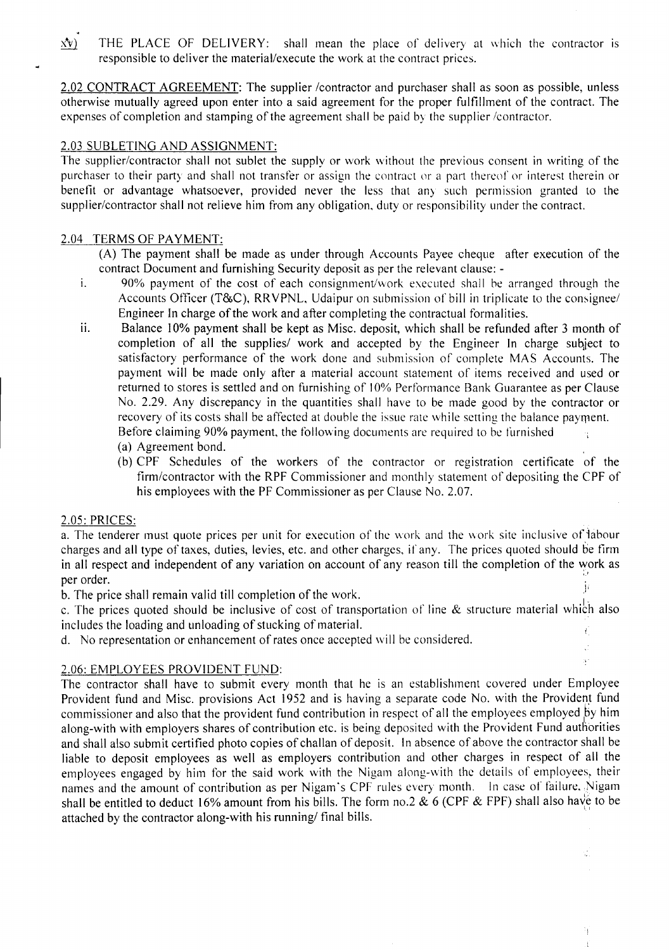$\mathbf{M}$  THE PLACE OF DELIVERY: shall mean the place of delivery at which the contractor is responsible to deliver the material/execute the work at the contract prices.

2.02 CONTRACT AGREEMENT: The supplier /contractor and purchaser shall as soon as possible, unless otherwise mutually agreed upon enter into a said agreement for the proper fulfillment of the contract. The expenses of completion and stamping of the agreement shall be paid by the supplier /contractor.

### 2.03 SUBLETING AND ASSIGNMENT:

The supplier/contractor shall not sublet the supply or work without the previous consent in writing of the purchaser to their party and shall not transfer or assign the contract or a part thereof or interest therein or benefit or advantage whatsoever, provided never the less that any such permission granted to the supplier/contractor shall not relieve him from any obligation, duty or responsibility under the contract.

#### 2.04 TERMS OF PAYMENT:

*(A)* The payment shall be made as under through Accounts Payee cheque after execution of the contract Document and furnishing Security deposit as per the relevant clause: -

- I. 90% payment of the cost of each consignment/work executed shall he arranged through the Accounts Officer (T&C), RRVPNL, Udaipur on suhmission of bill in triplicate to the consignee/ Engineer In charge of the work and after completing the contractual formalities.
- ii. Balance 10% payment shall be kept as Misc. deposit, which shall be refunded after 3 month of completion of all the supplies/ work and accepted by the Engineer In charge subject to satisfactory performance of the work done and submission of complete MAS Accounts. The payment will be made only after a material account statement of items received and used or returned to stores is settled and on furnishing of 10% Performance Bank Guarantee as per Clause No. 2.29. Any discrepancy in the quantities shall have to be made good by the contractor or recovery of its costs shall be affected at double the issue rate while setting the balance payment. Before claiming 90% payment, the following documents are required to he furnished  $\alpha$ 
	- (a) Agreement bond.
	- (b) CPF Schedules of the workers of the contractor or registration certificate of the firm/contractor with the RPF Commissioner and monthly statement of depositing the CPF of his employees with the PF Commissioner as per Clause No. 2.07.

J. ą.

à.

ħ

#### 2.05: PRICES:

a. The tenderer must quote prices per unit for execution of the work and the work site inclusive of labour charges and all type of taxes, duties, levies, etc. and other charges, if any. The prices quoted should be firm in all respect and independent of any variation on account of any reason till the completion of the work as per order. The contract of the contract of the contract of the contract of the contract of the contract of the contract of the contract of the contract of the contract of the contract of the contract of the contract of the

b. The price shall remain valid till completion of the work.

c. The prices quoted should be inclusive of cost of transportation of line & structure material which also includes the loading and unloading of stucking of material.

d. No representation or enhancement of rates once accepted will be considered.

## 2.06: EMPLOYEES PROVIDENT FUND:

The contractor shall have to submit every month that he is an establishment covered under Employee Provident fund and Misc. provisions Act 1952 and is having a separate code No. with the Provident fund commissioner and also that the provident fund contribution in respect of all the employees employed by him along-with with employers shares of contribution etc. is being deposited with the Provident Fund authorities and shall also submit certified photo copies of challan of deposit. In absence of above the contractor shall be liable to deposit employees as well as employers contribution and other charges in respect of all the employees engaged by him for the said work with the Nigam along-with the details of employees, their names and the amount of contribution as per Nigam's CPF rules every month. In case of failure, Nigam shall be entitled to deduct 16% amount from his bills. The form no.2 & 6 (CPF & FPF) shall also have to be attached by the contractor along-with his running/ final bills.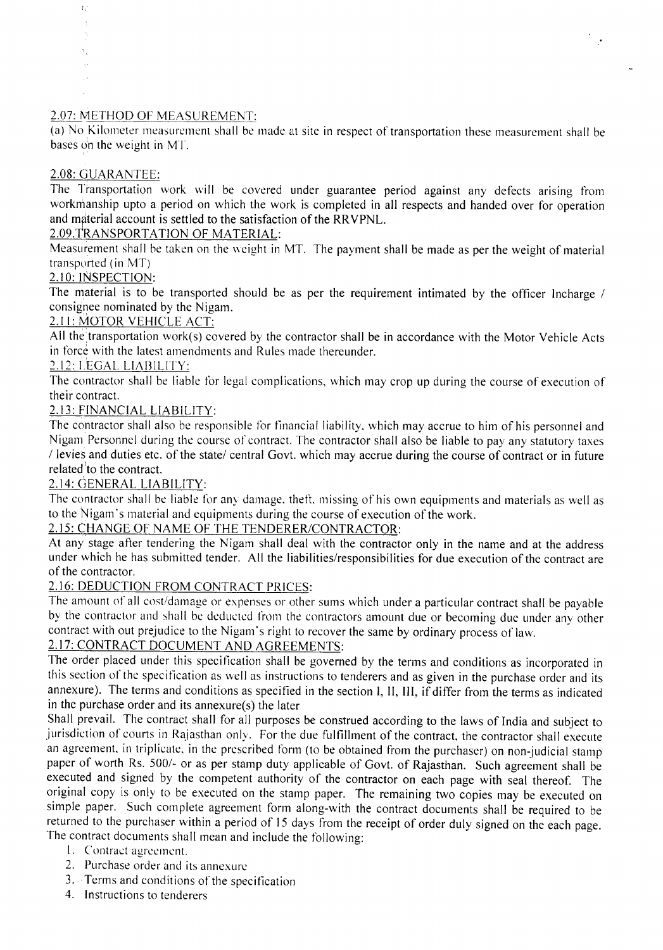## 2.07: METHOD OF MEASUREMENT

(a) No Kilometer measurement shall be made at site in respect of transportation these measurement shall be bases on the weight in MT.

 $\mathcal{P}$ 

## 2.08: GUARANTEE:

 $\overline{1}$  (  $\frac{1}{2}$ 

٦ĵ

The Transportation work will be covered under guarantee period against any defects arising from workmanship upto a period on which the work is completed in all respects and handed over for operation and material account is settled to the satisfaction of the RRVPNL.

## 2.09.TRANSPORTATION OF MATERIAL:

Measurement shall be taken on the weight in MT. The payment shall be made as per the weight of material transported (in  $MT$ )

## 2. I0: INsPECTION:

The material is to be transported should be as per the requirement intimated by the officer Incharge / consignee nominated by the Nigam.

## 2.11: MOTOR VEHICLE ACT:

All the transportation work(s) covered by the contractor shall be in accordance with the Motor Vehicle Acts in force with the latest amendments and Rules made thereunder.

## 2.12: LEGAL. LIABILITY:

The contractor shall be liable for legal complications, which may crop up during the course of execution of their contract.

## 2.13: FINANCIAL LIABILITY:

The contractor shall also be responsible for financial liability, which may accrue to him of his personnel and Nigam Personnel during the course of contract. The contractor shall also be liable to pay any statutory taxes / levies and duties etc. of the state/ central Govt. which may accrue during the course of contract or in future related to the contract.

## ~.14: GENERAL LIABILITY:

The contractor shall be liable for any damage, theft, missing of his own equipments and materials as well as to the Nigam's material and equipments during the course of execution of the work.

## 2.15: CHANGE OF NAME OF THE TENDERER/CONTRACTOR:

At any stage after tendering the Nigam shall deal with the contractor only in the name and at the address under which he has submitted tender. All the liabilities/responsibilities for due execution of the contract are of the contractor.

## 2.16: DEDUCTION FROM CONTRACT PRICES:

The amount of all cost/damage or expenses or other sums which under a particular contract shall be payable by the contractor and shall be deducted from the contractors amount due or becoming due under any other contract with out prejudice to the Nigam's right to recover the same by ordinary process of law.

## 2.17: CONTRACT DOCUMENT AND AGREEMENTS:

The order placed under this specification shall be governed by the terms and conditions as incorporated in this section of the specification as well as instructions to tenderers and as given in the purchase order and its annexure). The terms and conditions as specified in the section I, II, Ill, if differ from the terms as indicated in the purchase order and its annexure(s) the later

Shall prevail. The contract shall for all purposes be construed according to the laws of India and subject to jurisdiction of courts in Rajasthan only. For the due fulfillment of the contract, the contractor shall execute an agreement. in triplicate. in the prescribed form (to be obtained from the purchaser) on non-judicial stamp paper of worth Rs. 500/- or as per stamp duty applicable of Govt. of Rajasthan. Such agreement shall be executed and signed by the competent authority of the contractor on each page with seal thereof. The original copy is only to be executed on the stamp paper. The remaining two copies may be executed on simple paper. Such complete agreement form along-with the contract documents shall be required to be returned to the purchaser within a period of 15 days from the receipt of order duly signed on the each page. The contract documents shall mean and include the following:

- I. Contract agreement.
- 2. Purchase order and its annexure
- 3. Terms and conditions of the specification
- 4. Instructions to tenderers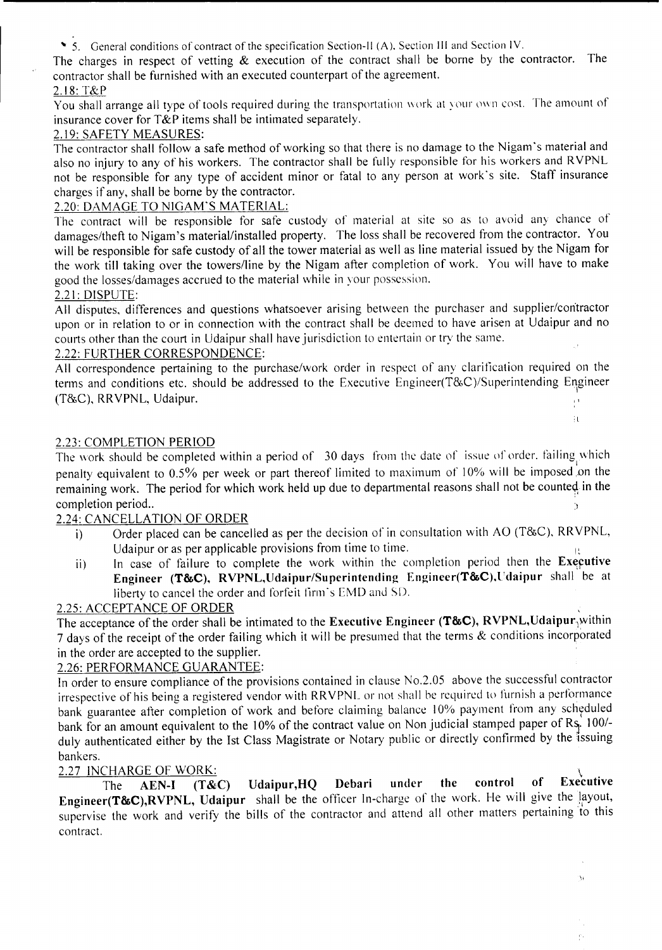~ 5. General conditions of contract of the specification Section-It (A). Section III and Section IV.

The charges in respect of vetting  $\&$  execution of the contract shall be borne by the contractor. The contractor shall be furnished with an executed counterpart of the agreement.

## 2.18:T&P

You shall arrange all type of tools required during the transportation work at your own cost. The amount of insurance cover for T&P items shall be intimated separately.

## 2.19: SAFETY MEASURES:

The contractor shall follow a safe method of working so that there is no damage to the Nigam's material and also no injury to any of his workers. The contractor shall be fully responsible for his workers and RVPNL not be responsible for any type of accident minor or fatal to any person at work's site. Staff insurance charges if any, shall be borne by the contractor.

## 2.20: DAMAGE TO NIGAM'S MATERIAL:

The contract will be responsible for safe custody of material at site so as to avoid any chance of damages/theft to Nigam's material/installed property. The loss shall be recovered from the contractor. You will be responsible for safe custody of all the tower material as well as line material issued by the Nigam for the work till taking over the towers/line by the Nigam after completion of work. You will have to make good the losses/damages accrued to the material while in your possession.

### 2.21: DISPUTE:

All disputes. differences and questions whatsoever arising between the purchaser and supplier/contractor upon or in relation to or in connection with the contract shall be deemed to have arisen at Udaipur and no courts other than the court in Udaipur shall have jurisdiction to entertain or try the same.

### 2.22: FURTHER CORRESPONDENCE:

All correspondence pertaining to the purchase/work order in respect of any clarification required on the terms and conditions etc. should be addressed to the Executive Engineer(T&C)/Superintending Engineer  $(T&C)$ , RRVPNL, Udaipur.

## 2.23: COMPLETION PERIOD

The work should be completed within a period of 30 days from the date of issue of order. failing which penalty equivalent to 0.5% per week or part thereof limited to maximum of 10% will be imposed on the remaining work. The period for which work held up due to departmental reasons shall not be counted in the completion period..  $\mathfrak{Z}$ 

## 2.24: CANCELLATION OF ORDER

- i) Order placed can be cancelled as per the decision of in consultation with AO (T&C). RRVPNL, Udaipur or as per applicable provisions from time to time.
- In case of failure to complete the work within the completion period then the Executive Engineer (T&C), RVPNL, Udaipur/Superintending Engineer(T&C), Udaipur shall be at liberty to cancel the order and forfeit firm's EMD and SD. ii)

,

 $\mathfrak{g}_\mathbf{L}$ 

\'

ė,

## *2.25:* ACCEPTANCE OF ORDER

The acceptance of the order shall be intimated to the Executive Engineer (T&C), RVPNL, Udaipur $\gamma_{\text{M}}$ 7 days of the receipt of the order failing which it will be presumed that the terms & conditions incorporated in the order are accepted to the supplier.

## 2.26: PERFORMANCE GUARANTEE:

In order to ensure compliance of the provisions contained in clause No.2.0S above the successful contractor irrespective of his being a registered vendor with RRVPNL or not shall be required to furnish a performance bank guarantee after completion of work and before claiming balance 10% payment from any scheduled bank for an amount equivalent to the 10% of the contract value on Non judicial stamped paper of Rs. 100/duly authenticated either by the Ist Class Magistrate or Notary public or directly confirmed by the issuing bankers.

2.27 INCHARGE OF WORK:<br>The AEN-I (T&C) Udaipur, HQ Debari under the control of Executive The AEN-I (T&C) Udaipur, HQ Debari under the control of Executiv **Engineer(T&C),RVPNL, Udaipur** shall be the officer In-charge of the work. He will give the layout, supervise the work and verify the bills of the contractor and attend all other matters pertaining 'to this contract.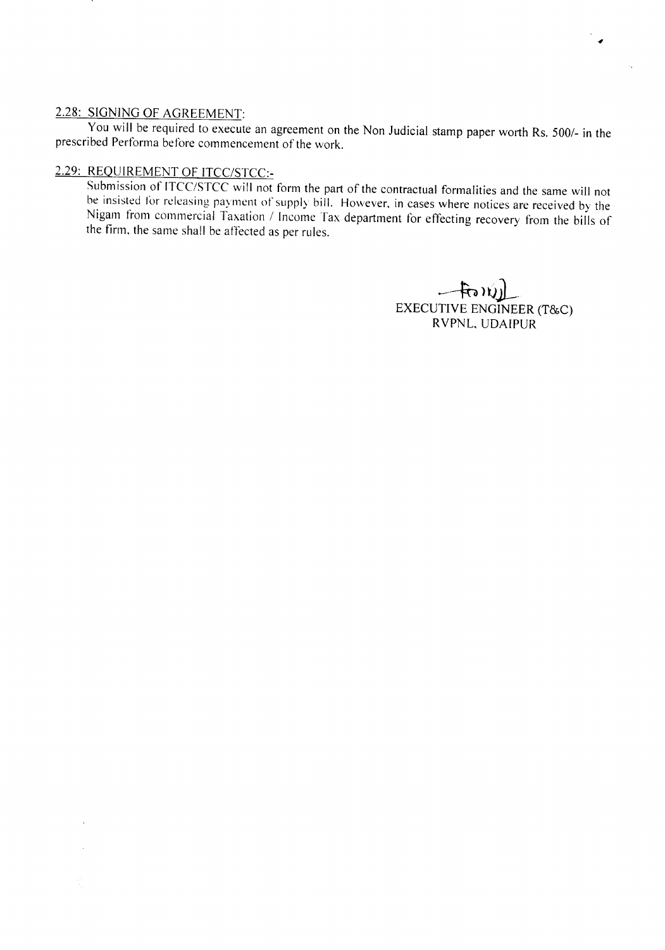## 2.28: SIGNING OF AGREEMENT:

 $\bar{t}$ 

You will be required to execute an agreement on the Non Judicial stamp paper worth Rs. *5001-* in the prescribed Performa before commencement of the work.

## 2.29: REQUIREMENT OF *ITCC/STCC:-*

Submission of ITCC/STCC will not form the part of the contractual formalities and the same will not be insisted lor releasing payment of supply bill. However. in cases where notices are received by the Nigam from commercial Taxation *1* Income Tax department for effecting recovery from the bills of the finn. the same shall be affected as per rules.

> $-$ frony) EXECUTIVE ENGINEER (T&C) RVPNL, UDAIPUR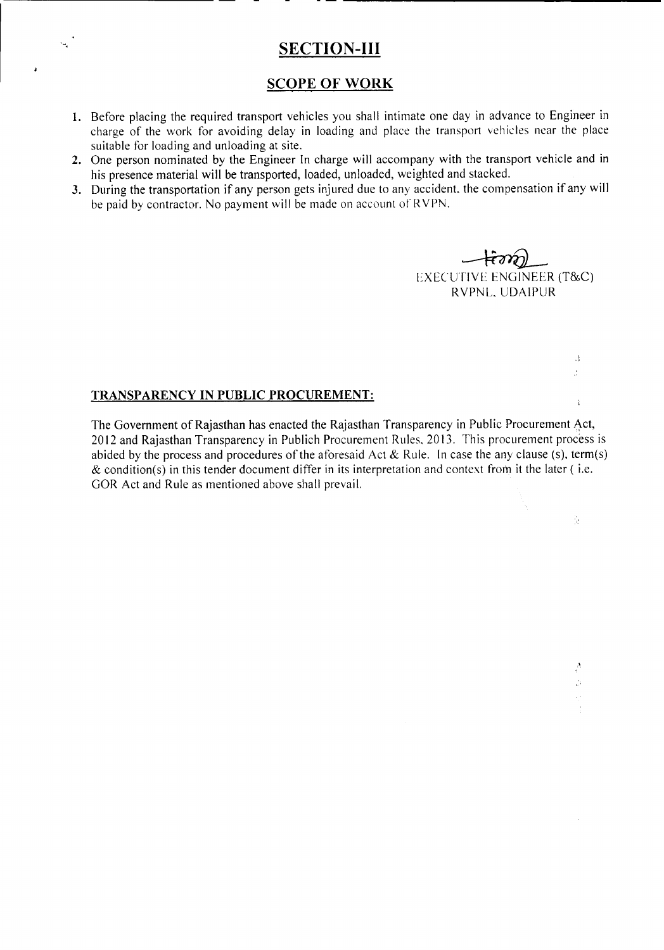## SECTION-III

## SCOPE OF WORK

- 1. Before placing the required transport vehicles you shall intimate one day in advance to Engineer in charge of the work for avoiding delay in loading and place the transport vehicles near the place suitable for loading and unloading at site.
- 2. One person nominated by the Engineer In charge will accompany with the transport vehicle and in his presence material will be transported, loaded, unloaded, weighted and stacked.
- 3. During the transportation if any person gets injured due to any accident, the compensation if any will be paid by contractor. No payment will be made on account of RVPN.

~ EXECUTIVE ENGINEER (T&C) RVPNL. UDAIPUR

,1

J.

 $\ddot{i}$ 

 $\chi$ 

A  $\frac{1}{12}4$ 

## TRANSPARENCY IN PUBLIC PROCUREMENT:

The Government of Rajasthan has enacted the Rajasthan Transparency in Public Procurement Act, 2012 and Rajasthan Transparency in Publich Procurement Rules. 2013. This procurement process is abided by the process and procedures of the aforesaid Act & Rule. In case the any clause (s), term(s)  $\&$  condition(s) in this tender document differ in its interpretation and context from it the later (i.e. GOR Act and Rule as mentioned above shall prevail.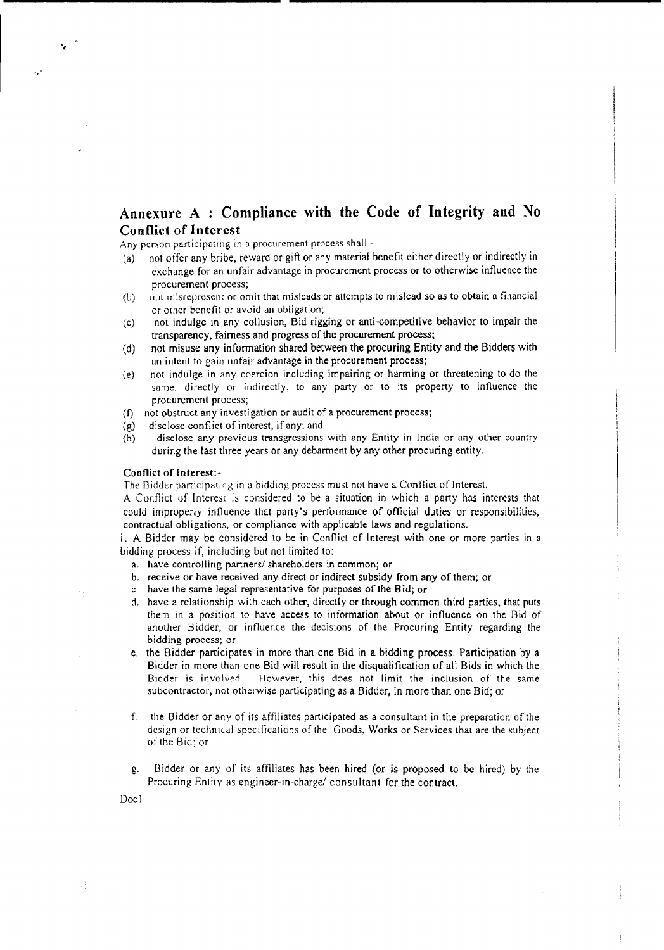## **Annexure** A : **Compliance with the Code of Integrity and No Conflict of Interest**

Any person participating in a procurement process shall -

- (a) not offer any bribe, reward or gift or any material benefit either directly or indirectly in exchange for an unfair advantage in procurement process or to otherwise influence the procurement process;
- (b) not misrepresent or omit that misleads or attempts to mislead so as to obtain a financial or other benefit or avoid an obligation;
- (c) nOI indulge in any collusion, Bid rigging or anti-competitive behavior to impair the transparency, fairness and progress of the procurement process;
- (d) not misuse any information shared between the procuring Entity and the Bidders with an intent to gain unfair advantage in the procurement process;
- (e) not indulge in any coercion including impairing or harming or threatening to do the same, directly or indirectly, to any party or to its property to influence the procurement process;
- (f) not obstruct any investigation or audit of a procurement process;
- (g) disclose conflict of interest, if any; and
- (h) disclose any previous transgressions with any Entity in India or any other country during the last three years or any debarment by any other procuring entity.

#### Conflict of Interest:-

"

...

The Ridder participating in a bidding process must not have a Conflict of Interest.

A Conflict of Interest is considered to be a situation in which a party has interests that could improperly influence that party's performance of official duties or responsibilities, contractual obligations, or compliance with applicable laws and regulations.

i. <sup>A</sup> Bidder may be considered to be in Conflict of Interest with one or more parties in <sup>a</sup> bidding process if, including but not limited to:

- a. have controlling partners/ shareholders in common; or
- b. receive or have received any direct or indirect subsidy from any of them; or
- c. have the same legal representative for purposes of the Bid; or
- d. have a relationship with each other, directly or through common third parties. that puts them in a position to have access to information about or influence on the Bid of another Bidder, or influence the decisions of the Procuring Entity regarding the bidding process; or
- e. the Bidder participates in more than one Bid in a bidding process. Participation by a Bidder in more than one Bid will result in the disqualification of all Bids in which the Bidder is involved. However, this does not limit the inclusion of the same subcontractor, not otherwise participating as a Bidder, in more than one Bid; or
- f. the Bidder or any of its affiliates participated as a consultant in the preparation of the design or technical specifications of the Goods, Works or Services that are the subject of the Bid; or
- g. Bidder or any of its affiliates has been hired (or is proposed to be hired) by the Procuring Entity as engineer-in-charge/ consultant for the contract.

Doc I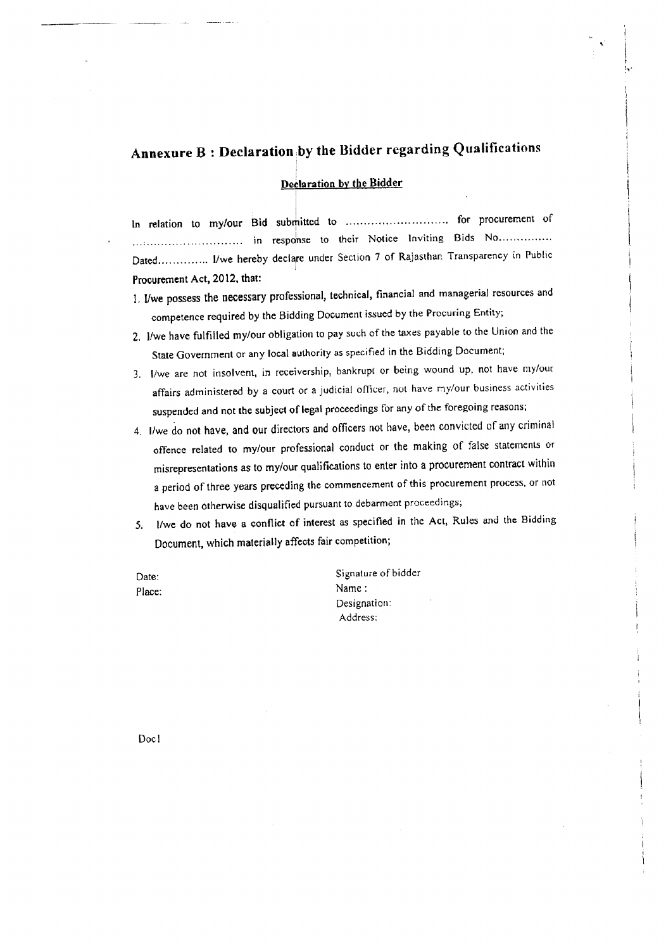# Annexure B : Declaration .by the Bidder regarding Qualifications

#### Declaration by the Bidder

I

In relation to my/our Bid submitted to .............................. for procurement of .............................. in response to their Notice Inviting Bids No " .. Dated.............. I/we hereby declare under Section 7 of Rajasthan Transparency in Public Procurement Act, 2012, that:

- t. *I/we* possess the necessary professional, technical, financial and managerial resources and competence required by the Bidding Document issued by the Procuring Entity;
- 2. l/we have fulfilled my/our obligation to pay such of the taxes payable to the Union and the State Government or any local authority as specified in the Bidding Document;
- 3. I/we are not insolvent, in receivership, bankrupt or being wound up, not have my/our affairs administered by a court or a judicial officer, not have my/our business activities suspended and not the subject of legal proceedings for any of the foregoing reasons;
- 4. lIwe do not have, and our directors and officers not have, been convicted of any criminal offence related to my/our professional conduct or the making of false statements or misrepresentations as to my/our qualifications to enter into a procurement contract within a period of three years preceding the commencement of this procurement process, or not have been otherwise disqualified pursuant to debarment proceedings;
- *5. l/we* do not have a conflict of interest as specified in the Act, Rules and the Bidding Document, which materially affects fair competition;
- Date: Place:

Signature of bidder Name: Designation: Address: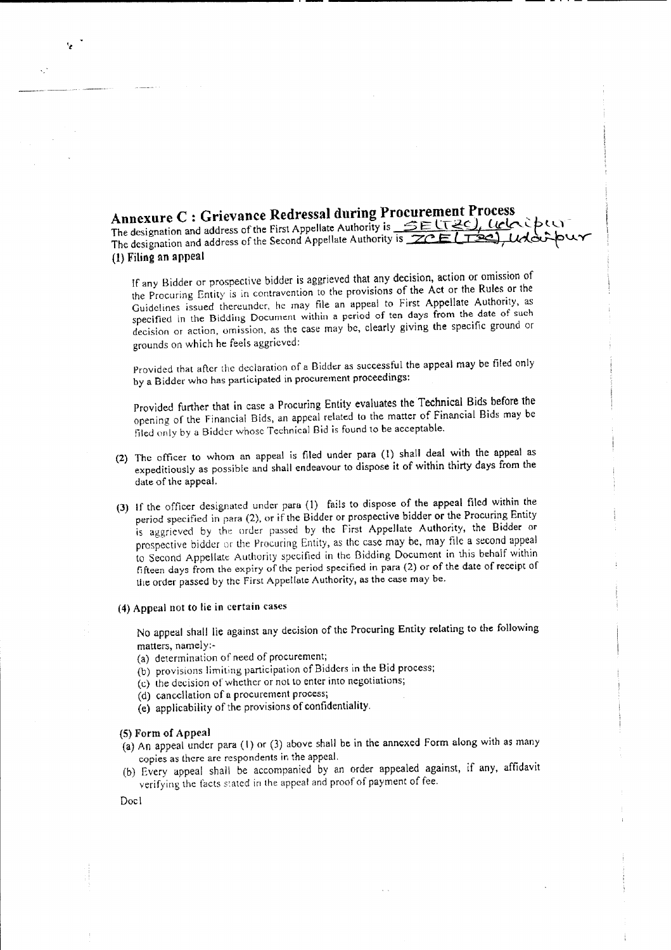**Annexure C : Grievance Redressal during Procurement Process .** The designation and address of the First Appellate Authority is <u>SELT2C), LICC</u>CO The designation and address of the Second Appellate Authority is **ZCE [T20]**, Udd. (1) Filing an appeal

-- - .. - ------

If any Bidder or prospective bidder is aggrieved that any decision, action or omission of the Procuring Entity is in contravention to the provisions of the Act or the Rules or the Guidelines issued thereunder, he may file an appeal to First Appellate Authority, as specified in the Bidding Document within a period of ten days from the date of such decision or action, omission, as the Case may be, clearly giving the specific ground or grounds on which he feels aggrieved:

Provided that after the declaration of a Bidder as successful the appeal may be filed only by a Bidder who has participated in procurement proceedings:

Provided further that in case a Procuring Entity evaluates the Technical Bids before the opening of the Financial Bids, an appeal related to the matter of Financial Bids may be tiled only by a Bidder whose Technical Bid is found to be acceptable.

- (2) The officer to whom an appeal is filed under para (1) shall deal with the appeal as expeditiously as possible and shall endeavour to dispose it of within thirty days from the date of the appeal.
- (3) If the officer designated under para (1) fails to dispose of the appeal filed within the period specified in para (2), or if the Bidder or prospective bidder or the Procuring Entity is aggrieved by the order passed by the First Appellate Authority, the Bidder or prospective bidder or the Procuring Entity, as the case may be, may file a second appeal to Second Appellate; Authority specified in the Bidding Document in this behalf within ft fteen days from the expiry of the period specified in para (2) or of the date of receipt of the order passed by the first Appellate Authority, as the case may be.

#### (4) Appeal not to lie in certain cases

No appeal shall lie against any decision of the Procuring Entity relating to the following matters, namely:-

- (a) determination of need of procurement;
- (b) provisions limiting participation of Bidders in the Bid process;
- (c) the decision of whether or not to enter into negotiations;
- (d) cancellation of a procurement process;
- (e) applicability of the provisions of confidentiality.

#### (5) Form of Appeal

- (a) An appeal under para (1) or (3) above shall be in the annexed Form along with as many copies as there arc respondents in the appeal.
- (b) Every appeal shall be accompanied by an order appealed against, if any, affidavit verifying the facts stated in the appeal and proof of payment of fee.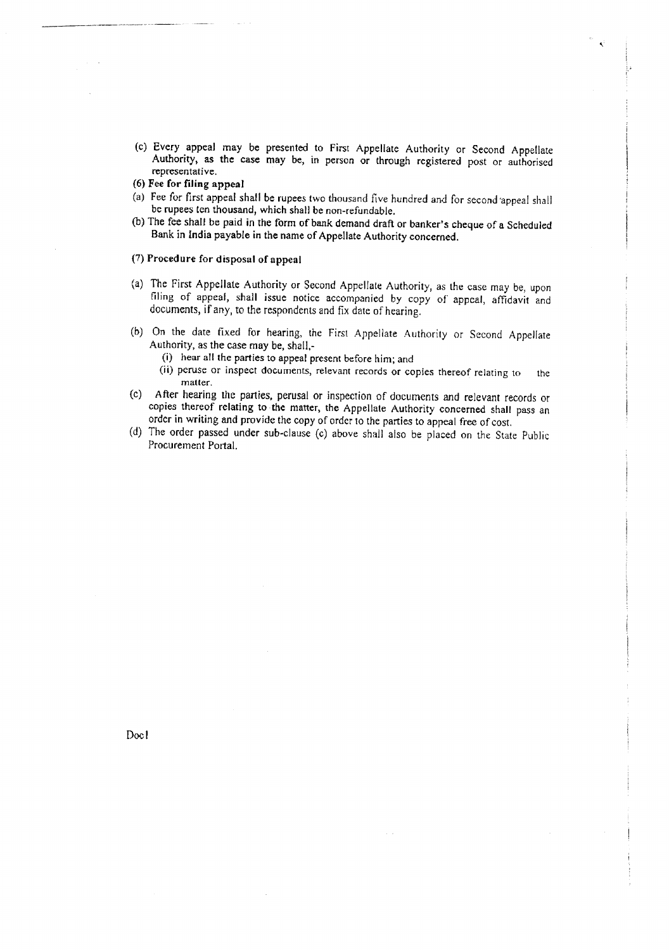- (c) Every appeal may be presented to First Appellate Authority or Second Appellate Authority, as the case may be, in person or through registered post or authorised representative.
- (6) Fee for filing appeal
- (a) Fee for first appeal shall be rupees two thousand five hundred and for second 'appeal shall be rupees ten thousand, which shall be non-refundable.
- (b) The fee shall be paid in the form of bank demand draft or banker's cheque of a Scheduled Bank in India payable in the name of Appellate Authority concerned.

#### (7) Procedure for disposal of appeal

- (a) The First Appellate Authority or Second Appellate Authority, as the case may be, upon filing of appeal, shall issue notice accompanied by copy of appeal, affidavit and documents, if any, to the respondents and fix date of hearing.
- (b) On the date fixed for hearing, the First Appellate Authority or Second Appellate Authority, as the case may be, shall,-
	- (i) hear all the parties to appeal present before him; and
	- (ii) peruse or inspect documents, relevant records or copies thereof relating to the matter.
- (c) After hearing the parties, perusal or inspection of documents and relevant records or copies thereof relating to the matter, the Appellate Authority concerned shall pass an order in writing and provide the copy of order to the parties to appeal free of cost
- (d) The order passed under sub-clause (c) above shall also be placed on the State Public Procurement Portal.

Doc I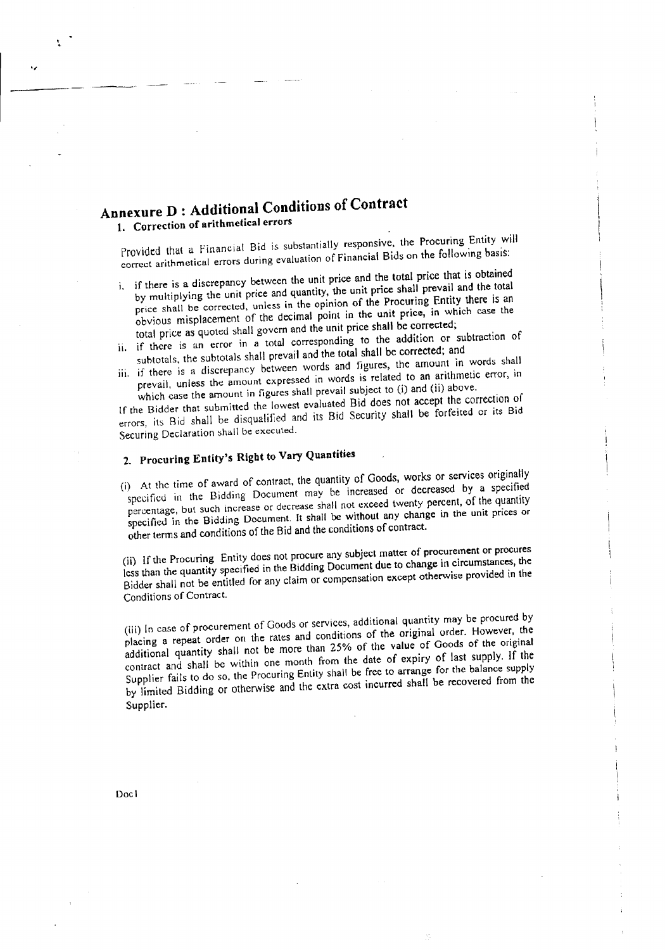# Annexure D : Additional Conditions of Contract

1. Correction of arithmetical errors

"

•,

Provided that a Financial Bid is substantially responsive, the Procuring Entity will correct arithmetical errors during evaluation of Financial Bids on the following basis:

- i. if there is a discrepancy between the unit price and the total price that is obtained by multiplying the unit price and quantity, the unit price shall prevail and the total price shall be corrected, unless in the opinion of the Procuring Entity there is an obvious misplacement of the decimal point in the unit price, in which case the total price as quoted shall govern and the unit price shall be corrected;
- ii. if there is an error in a total corresponding to the addition or subtraction of subtotals. the subtotals shall prevail and the total shall be corrected; and
- iii. if there is a discrepancy between words and figures, the amount in words shall prevail, unless the amount expressed in words is related to an arithmetic error, in which case the amount in figures shall prevail subject to (i) and (ii) above.

If the Bidder that submitted the lowest evaluated Bid does not accept the correction of errors, its Bid shall be disqualified and its Bid Security shall be forfeited or its Bid Securing Declaration shall be executed.

# 2. Procuring Entity's Right to Vary Quantities

(i) At the time of award of contract, the quantity of Goods, works or services originally specified in the Bidding Document may be increased or decreased by a specified percentage, but such increase or decrease shall not exceed twenty percent, of the quantity specified in the Bidding Document. It shall be without any change in the unit prices or other terms and conditions of the Bid and the conditions of contract.

(ii) If the Procuring Entity does not procure any subject matter of procurement or procures less than the quantity specified in the Bidding Document due to change in circumstances, the Bidder shall not be entitled for any claim or compensation except otherwise provided in the Conditions of Contract.

(iii) In case of procurement of Goods or services, additional quantity may be procured by placing a repeat order on the rates and conditions of the original order. However, the additional quantity shall not be more than 25% of the value of Goods of the original contract and shall be within one month from the date of expiry of last supply. If the Supplier fails to do so. the Procuring Entity shalt be free to arrange for the balance supply by limited Bidding or otherwise and the extra cost incurred shall be recovered from the Supplier.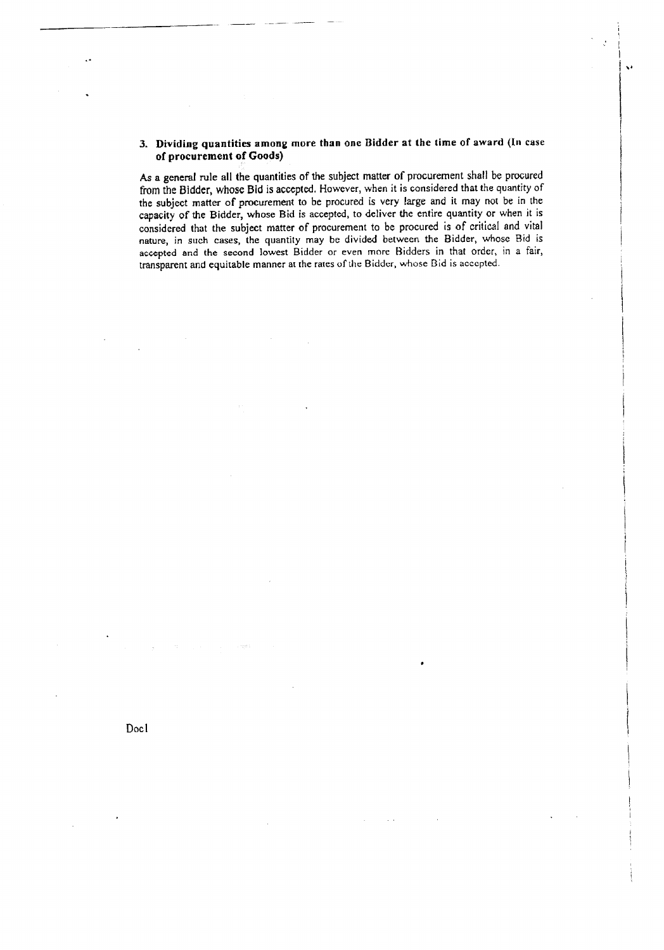#### 3. Dividing quantities among more than one Bidder at the time of award (In case of procurement of Goods)

 $\mathbf{v}$ 

As a general rule all the quantities of the subject matter of procurement shall be procured from the Bidder, whose Bid is accepted. However, when it is considered that the quantity of the subject matter of procurement to be procured is very large and it may not be in the capacity of the Bidder, whose Bid is accepted, to deliver the entire quantity or when it is considered that the subject matter of procurement to be procured is of critical and vital nature, in such cases, the quantity may be divided between the Bidder, whose Bid is accepted and the second lowest Bidder or even more Bidders in that order, in a fair, transparent and equitable manner at the rates of the Bidder, whose Bid is accepted.